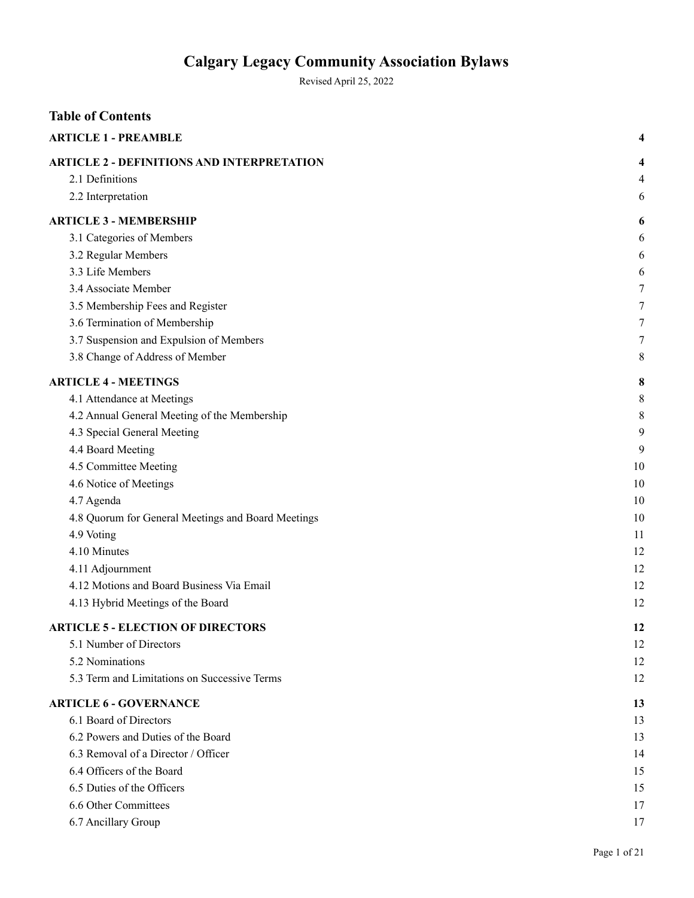Revised April 25, 2022

| <b>Table of Contents</b>                           |        |
|----------------------------------------------------|--------|
| <b>ARTICLE 1 - PREAMBLE</b>                        |        |
| <b>ARTICLE 2 - DEFINITIONS AND INTERPRETATION</b>  | 4      |
| 2.1 Definitions                                    | 4      |
| 2.2 Interpretation                                 | 6      |
| <b>ARTICLE 3 - MEMBERSHIP</b>                      | 6      |
| 3.1 Categories of Members                          | 6      |
| 3.2 Regular Members                                | 6      |
| 3.3 Life Members                                   | 6      |
| 3.4 Associate Member                               | 7      |
| 3.5 Membership Fees and Register                   | 7      |
| 3.6 Termination of Membership                      | 7      |
| 3.7 Suspension and Expulsion of Members            | $\tau$ |
| 3.8 Change of Address of Member                    | 8      |
| <b>ARTICLE 4 - MEETINGS</b>                        | 8      |
| 4.1 Attendance at Meetings                         | 8      |
| 4.2 Annual General Meeting of the Membership       | 8      |
| 4.3 Special General Meeting                        | 9      |
| 4.4 Board Meeting                                  | 9      |
| 4.5 Committee Meeting                              | 10     |
| 4.6 Notice of Meetings                             | 10     |
| 4.7 Agenda                                         | 10     |
| 4.8 Quorum for General Meetings and Board Meetings | 10     |
| 4.9 Voting                                         | 11     |
| 4.10 Minutes                                       | 12     |
| 4.11 Adjournment                                   | 12     |
| 4.12 Motions and Board Business Via Email          | 12     |
| 4.13 Hybrid Meetings of the Board                  | 12     |
| <b>ARTICLE 5 - ELECTION OF DIRECTORS</b>           | 12     |
| 5.1 Number of Directors                            | 12     |
| 5.2 Nominations                                    | 12     |
| 5.3 Term and Limitations on Successive Terms       | 12     |
| <b>ARTICLE 6 - GOVERNANCE</b>                      | 13     |
| 6.1 Board of Directors                             | 13     |
| 6.2 Powers and Duties of the Board                 | 13     |
| 6.3 Removal of a Director / Officer                | 14     |
| 6.4 Officers of the Board                          | 15     |
| 6.5 Duties of the Officers                         | 15     |
| 6.6 Other Committees                               | 17     |
| 6.7 Ancillary Group                                | 17     |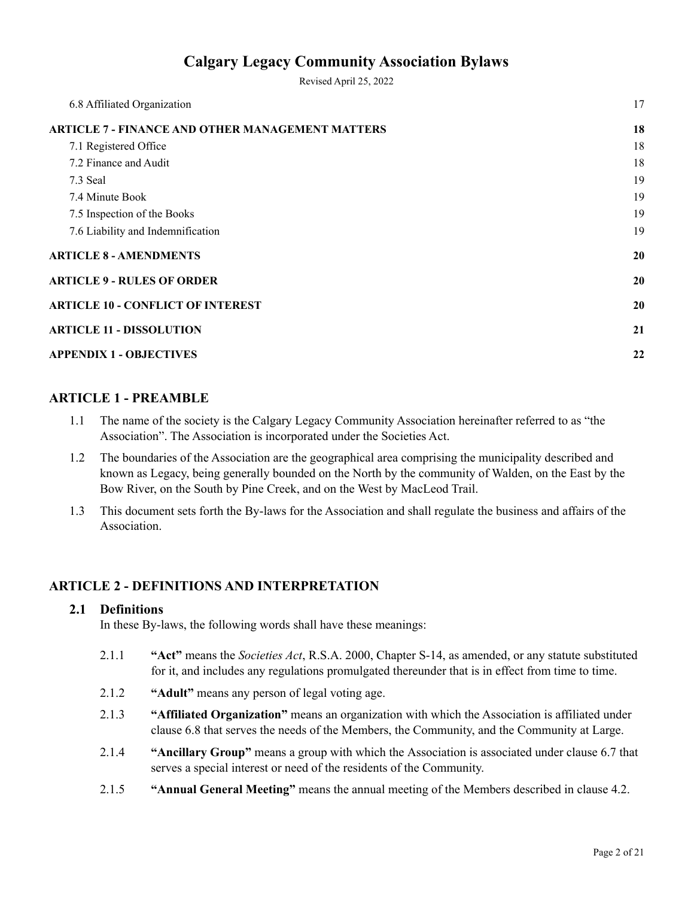Revised April 25, 2022

| 17 |
|----|
| 18 |
| 18 |
| 18 |
| 19 |
| 19 |
| 19 |
| 19 |
| 20 |
| 20 |
| 20 |
| 21 |
| 22 |
|    |

## <span id="page-1-0"></span>**ARTICLE 1 - PREAMBLE**

- 1.1 The name of the society is the Calgary Legacy Community Association hereinafter referred to as "the Association". The Association is incorporated under the Societies Act.
- 1.2 The boundaries of the Association are the geographical area comprising the municipality described and known as Legacy, being generally bounded on the North by the community of Walden, on the East by the Bow River, on the South by Pine Creek, and on the West by MacLeod Trail.
- 1.3 This document sets forth the By-laws for the Association and shall regulate the business and affairs of the Association.

## <span id="page-1-1"></span>**ARTICLE 2 - DEFINITIONS AND INTERPRETATION**

### <span id="page-1-2"></span>**2.1 Definitions**

In these By-laws, the following words shall have these meanings:

- 2.1.1 **"Act"** means the *Societies Act*, R.S.A. 2000, Chapter S-14, as amended, or any statute substituted for it, and includes any regulations promulgated thereunder that is in effect from time to time.
- 2.1.2 **"Adult"** means any person of legal voting age.
- 2.1.3 **"Affiliated Organization"** means an organization with which the Association is affiliated under clause 6.8 that serves the needs of the Members, the Community, and the Community at Large.
- 2.1.4 **"Ancillary Group"** means a group with which the Association is associated under clause 6.7 that serves a special interest or need of the residents of the Community.
- 2.1.5 **"Annual General Meeting"** means the annual meeting of the Members described in clause 4.2.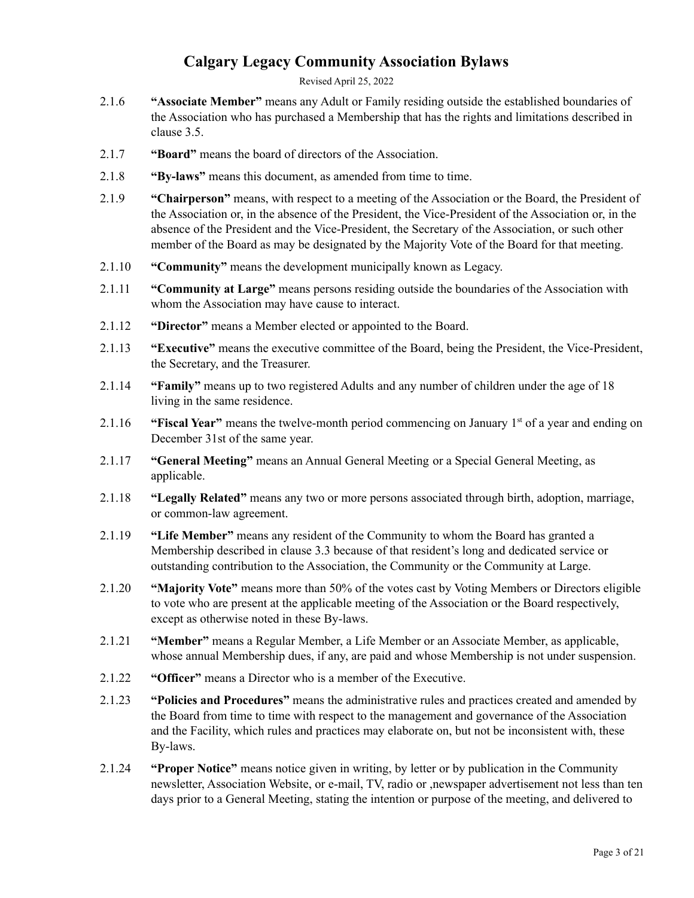Revised April 25, 2022

- 2.1.6 **"Associate Member"** means any Adult or Family residing outside the established boundaries of the Association who has purchased a Membership that has the rights and limitations described in clause 3.5.
- 2.1.7 **"Board"** means the board of directors of the Association.
- 2.1.8 **"By-laws"** means this document, as amended from time to time.
- 2.1.9 **"Chairperson"** means, with respect to a meeting of the Association or the Board, the President of the Association or, in the absence of the President, the Vice-President of the Association or, in the absence of the President and the Vice-President, the Secretary of the Association, or such other member of the Board as may be designated by the Majority Vote of the Board for that meeting.
- 2.1.10 **"Community"** means the development municipally known as Legacy.
- 2.1.11 **"Community at Large"** means persons residing outside the boundaries of the Association with whom the Association may have cause to interact.
- 2.1.12 **"Director"** means a Member elected or appointed to the Board.
- 2.1.13 **"Executive"** means the executive committee of the Board, being the President, the Vice-President, the Secretary, and the Treasurer.
- 2.1.14 **"Family"** means up to two registered Adults and any number of children under the age of 18 living in the same residence.
- 2.1.16 **"Fiscal Year"** means the twelve-month period commencing on January 1<sup>st</sup> of a year and ending on December 31st of the same year.
- 2.1.17 **"General Meeting"** means an Annual General Meeting or a Special General Meeting, as applicable.
- 2.1.18 **"Legally Related"** means any two or more persons associated through birth, adoption, marriage, or common-law agreement.
- 2.1.19 **"Life Member"** means any resident of the Community to whom the Board has granted a Membership described in clause 3.3 because of that resident's long and dedicated service or outstanding contribution to the Association, the Community or the Community at Large.
- 2.1.20 **"Majority Vote"** means more than 50% of the votes cast by Voting Members or Directors eligible to vote who are present at the applicable meeting of the Association or the Board respectively, except as otherwise noted in these By-laws.
- 2.1.21 **"Member"** means a Regular Member, a Life Member or an Associate Member, as applicable, whose annual Membership dues, if any, are paid and whose Membership is not under suspension.
- 2.1.22 **"Officer"** means a Director who is a member of the Executive.
- 2.1.23 **"Policies and Procedures"** means the administrative rules and practices created and amended by the Board from time to time with respect to the management and governance of the Association and the Facility, which rules and practices may elaborate on, but not be inconsistent with, these By-laws.
- 2.1.24 **"Proper Notice"** means notice given in writing, by letter or by publication in the Community newsletter, Association Website, or e-mail, TV, radio or ,newspaper advertisement not less than ten days prior to a General Meeting, stating the intention or purpose of the meeting, and delivered to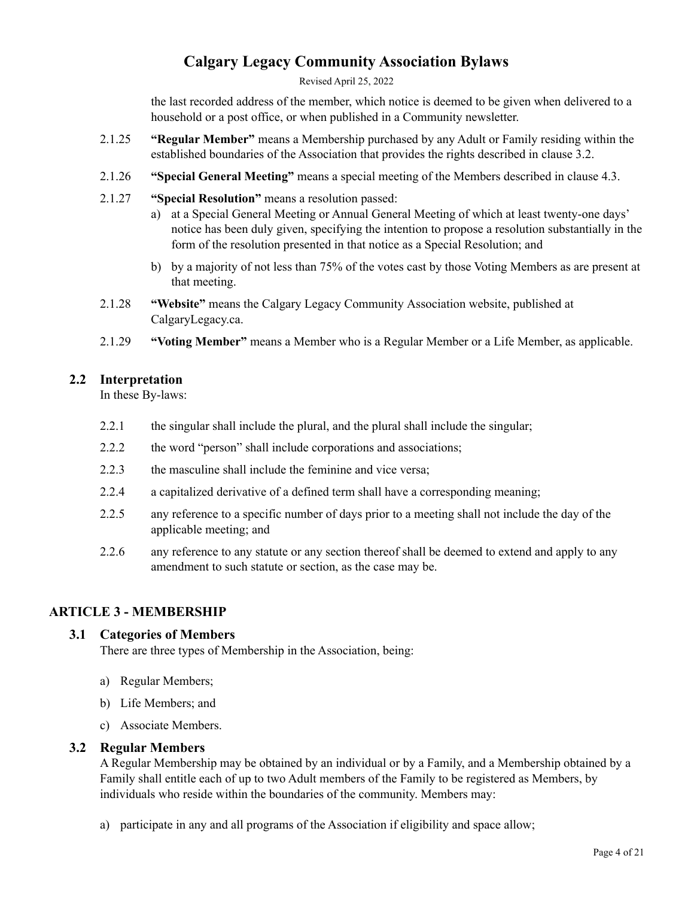Revised April 25, 2022

the last recorded address of the member, which notice is deemed to be given when delivered to a household or a post office, or when published in a Community newsletter.

- 2.1.25 **"Regular Member"** means a Membership purchased by any Adult or Family residing within the established boundaries of the Association that provides the rights described in clause 3.2.
- 2.1.26 **"Special General Meeting"** means a special meeting of the Members described in clause 4.3.
- 2.1.27 **"Special Resolution"** means a resolution passed:
	- a) at a Special General Meeting or Annual General Meeting of which at least twenty-one days' notice has been duly given, specifying the intention to propose a resolution substantially in the form of the resolution presented in that notice as a Special Resolution; and
	- b) by a majority of not less than 75% of the votes cast by those Voting Members as are present at that meeting.
- 2.1.28 **"Website"** means the Calgary Legacy Community Association website, published at CalgaryLegacy.ca.
- 2.1.29 **"Voting Member"** means a Member who is a Regular Member or a Life Member, as applicable.

#### <span id="page-3-0"></span>**2.2 Interpretation**

In these By-laws:

- 2.2.1 the singular shall include the plural, and the plural shall include the singular;
- 2.2.2 the word "person" shall include corporations and associations;
- 2.2.3 the masculine shall include the feminine and vice versa;
- 2.2.4 a capitalized derivative of a defined term shall have a corresponding meaning;
- 2.2.5 any reference to a specific number of days prior to a meeting shall not include the day of the applicable meeting; and
- 2.2.6 any reference to any statute or any section thereof shall be deemed to extend and apply to any amendment to such statute or section, as the case may be.

### <span id="page-3-1"></span>**ARTICLE 3 - MEMBERSHIP**

#### <span id="page-3-2"></span>**3.1 Categories of Members**

There are three types of Membership in the Association, being:

- a) Regular Members;
- b) Life Members; and
- c) Associate Members.

#### <span id="page-3-3"></span>**3.2 Regular Members**

A Regular Membership may be obtained by an individual or by a Family, and a Membership obtained by a Family shall entitle each of up to two Adult members of the Family to be registered as Members, by individuals who reside within the boundaries of the community. Members may:

a) participate in any and all programs of the Association if eligibility and space allow;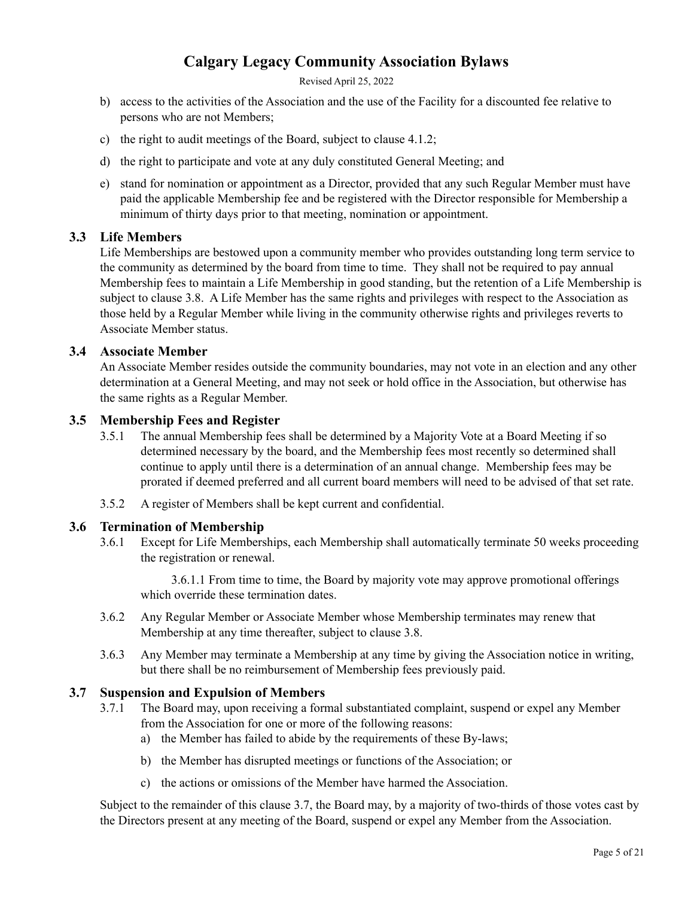Revised April 25, 2022

- b) access to the activities of the Association and the use of the Facility for a discounted fee relative to persons who are not Members;
- c) the right to audit meetings of the Board, subject to clause 4.1.2;
- d) the right to participate and vote at any duly constituted General Meeting; and
- e) stand for nomination or appointment as a Director, provided that any such Regular Member must have paid the applicable Membership fee and be registered with the Director responsible for Membership a minimum of thirty days prior to that meeting, nomination or appointment.

### <span id="page-4-0"></span>**3.3 Life Members**

Life Memberships are bestowed upon a community member who provides outstanding long term service to the community as determined by the board from time to time. They shall not be required to pay annual Membership fees to maintain a Life Membership in good standing, but the retention of a Life Membership is subject to clause 3.8. A Life Member has the same rights and privileges with respect to the Association as those held by a Regular Member while living in the community otherwise rights and privileges reverts to Associate Member status.

#### <span id="page-4-1"></span>**3.4 Associate Member**

An Associate Member resides outside the community boundaries, may not vote in an election and any other determination at a General Meeting, and may not seek or hold office in the Association, but otherwise has the same rights as a Regular Member.

#### <span id="page-4-2"></span>**3.5 Membership Fees and Register**

- 3.5.1 The annual Membership fees shall be determined by a Majority Vote at a Board Meeting if so determined necessary by the board, and the Membership fees most recently so determined shall continue to apply until there is a determination of an annual change. Membership fees may be prorated if deemed preferred and all current board members will need to be advised of that set rate.
- 3.5.2 A register of Members shall be kept current and confidential.

#### <span id="page-4-3"></span>**3.6 Termination of Membership**

3.6.1 Except for Life Memberships, each Membership shall automatically terminate 50 weeks proceeding the registration or renewal.

3.6.1.1 From time to time, the Board by majority vote may approve promotional offerings which override these termination dates.

- 3.6.2 Any Regular Member or Associate Member whose Membership terminates may renew that Membership at any time thereafter, subject to clause 3.8.
- 3.6.3 Any Member may terminate a Membership at any time by giving the Association notice in writing, but there shall be no reimbursement of Membership fees previously paid.

#### <span id="page-4-4"></span>**3.7 Suspension and Expulsion of Members**

- 3.7.1 The Board may, upon receiving a formal substantiated complaint, suspend or expel any Member from the Association for one or more of the following reasons:
	- a) the Member has failed to abide by the requirements of these By-laws;
	- b) the Member has disrupted meetings or functions of the Association; or
	- c) the actions or omissions of the Member have harmed the Association.

Subject to the remainder of this clause 3.7, the Board may, by a majority of two-thirds of those votes cast by the Directors present at any meeting of the Board, suspend or expel any Member from the Association.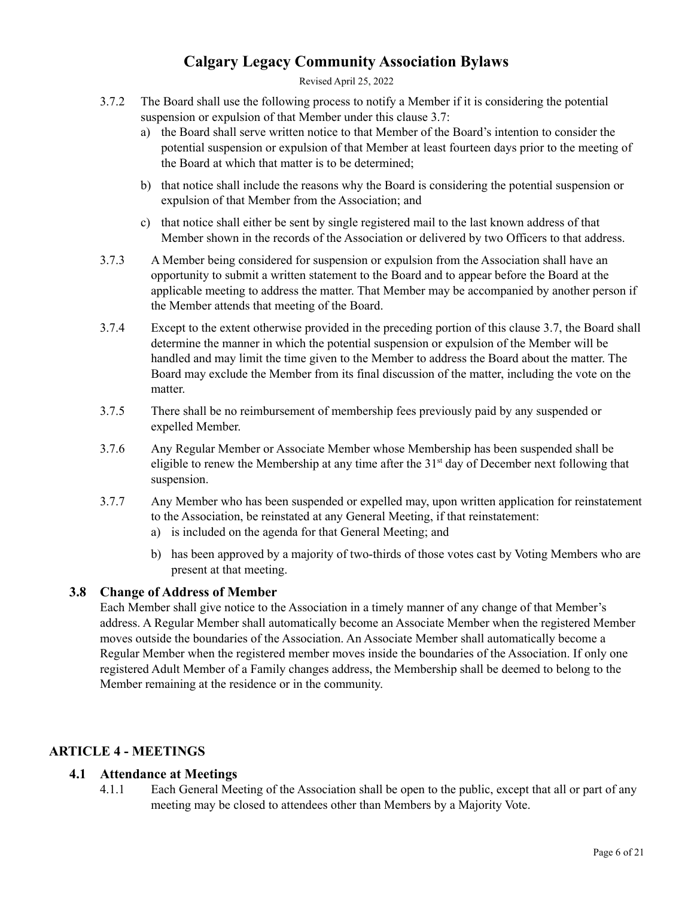#### Revised April 25, 2022

- 3.7.2 The Board shall use the following process to notify a Member if it is considering the potential suspension or expulsion of that Member under this clause 3.7:
	- a) the Board shall serve written notice to that Member of the Board's intention to consider the potential suspension or expulsion of that Member at least fourteen days prior to the meeting of the Board at which that matter is to be determined;
	- b) that notice shall include the reasons why the Board is considering the potential suspension or expulsion of that Member from the Association; and
	- c) that notice shall either be sent by single registered mail to the last known address of that Member shown in the records of the Association or delivered by two Officers to that address.
- 3.7.3 A Member being considered for suspension or expulsion from the Association shall have an opportunity to submit a written statement to the Board and to appear before the Board at the applicable meeting to address the matter. That Member may be accompanied by another person if the Member attends that meeting of the Board.
- 3.7.4 Except to the extent otherwise provided in the preceding portion of this clause 3.7, the Board shall determine the manner in which the potential suspension or expulsion of the Member will be handled and may limit the time given to the Member to address the Board about the matter. The Board may exclude the Member from its final discussion of the matter, including the vote on the matter.
- 3.7.5 There shall be no reimbursement of membership fees previously paid by any suspended or expelled Member.
- 3.7.6 Any Regular Member or Associate Member whose Membership has been suspended shall be eligible to renew the Membership at any time after the  $31<sup>st</sup>$  day of December next following that suspension.
- 3.7.7 Any Member who has been suspended or expelled may, upon written application for reinstatement to the Association, be reinstated at any General Meeting, if that reinstatement:
	- a) is included on the agenda for that General Meeting; and
	- b) has been approved by a majority of two-thirds of those votes cast by Voting Members who are present at that meeting.

### <span id="page-5-0"></span>**3.8 Change of Address of Member**

Each Member shall give notice to the Association in a timely manner of any change of that Member's address. A Regular Member shall automatically become an Associate Member when the registered Member moves outside the boundaries of the Association. An Associate Member shall automatically become a Regular Member when the registered member moves inside the boundaries of the Association. If only one registered Adult Member of a Family changes address, the Membership shall be deemed to belong to the Member remaining at the residence or in the community.

## <span id="page-5-2"></span><span id="page-5-1"></span>**ARTICLE 4 - MEETINGS**

### **4.1 Attendance at Meetings**

4.1.1 Each General Meeting of the Association shall be open to the public, except that all or part of any meeting may be closed to attendees other than Members by a Majority Vote.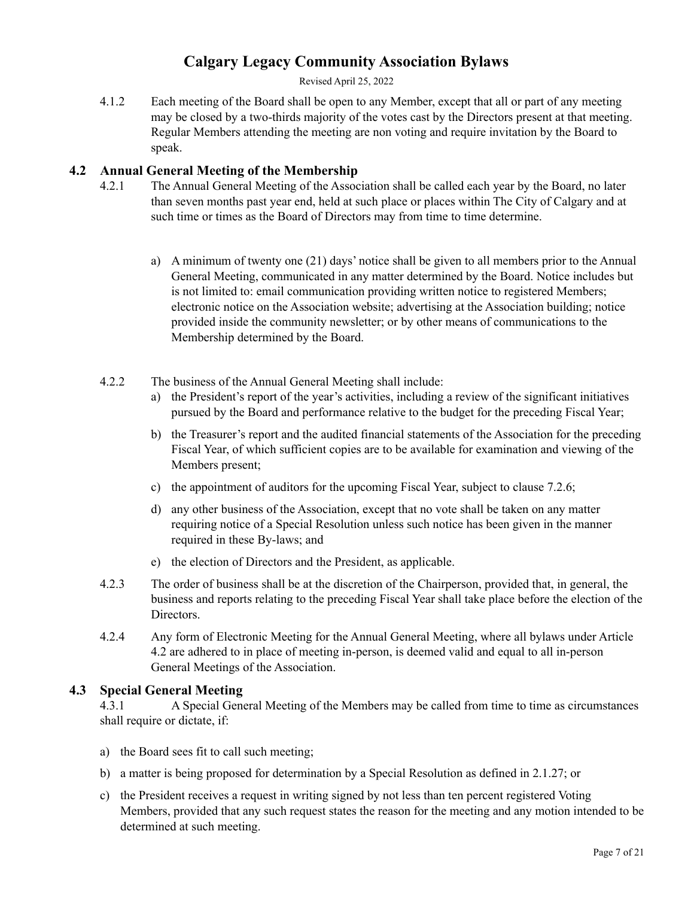Revised April 25, 2022

4.1.2 Each meeting of the Board shall be open to any Member, except that all or part of any meeting may be closed by a two-thirds majority of the votes cast by the Directors present at that meeting. Regular Members attending the meeting are non voting and require invitation by the Board to speak.

## <span id="page-6-0"></span>**4.2 Annual General Meeting of the Membership**

- 4.2.1 The Annual General Meeting of the Association shall be called each year by the Board, no later than seven months past year end, held at such place or places within The City of Calgary and at such time or times as the Board of Directors may from time to time determine.
	- a) A minimum of twenty one (21) days' notice shall be given to all members prior to the Annual General Meeting, communicated in any matter determined by the Board. Notice includes but is not limited to: email communication providing written notice to registered Members; electronic notice on the Association website; advertising at the Association building; notice provided inside the community newsletter; or by other means of communications to the Membership determined by the Board.
- 4.2.2 The business of the Annual General Meeting shall include:
	- a) the President's report of the year's activities, including a review of the significant initiatives pursued by the Board and performance relative to the budget for the preceding Fiscal Year;
	- b) the Treasurer's report and the audited financial statements of the Association for the preceding Fiscal Year, of which sufficient copies are to be available for examination and viewing of the Members present;
	- c) the appointment of auditors for the upcoming Fiscal Year, subject to clause 7.2.6;
	- d) any other business of the Association, except that no vote shall be taken on any matter requiring notice of a Special Resolution unless such notice has been given in the manner required in these By-laws; and
	- e) the election of Directors and the President, as applicable.
- 4.2.3 The order of business shall be at the discretion of the Chairperson, provided that, in general, the business and reports relating to the preceding Fiscal Year shall take place before the election of the **Directors**
- 4.2.4 Any form of Electronic Meeting for the Annual General Meeting, where all bylaws under Article 4.2 are adhered to in place of meeting in-person, is deemed valid and equal to all in-person General Meetings of the Association.

### <span id="page-6-1"></span>**4.3 Special General Meeting**

4.3.1 A Special General Meeting of the Members may be called from time to time as circumstances shall require or dictate, if:

- a) the Board sees fit to call such meeting;
- b) a matter is being proposed for determination by a Special Resolution as defined in 2.1.27; or
- c) the President receives a request in writing signed by not less than ten percent registered Voting Members, provided that any such request states the reason for the meeting and any motion intended to be determined at such meeting.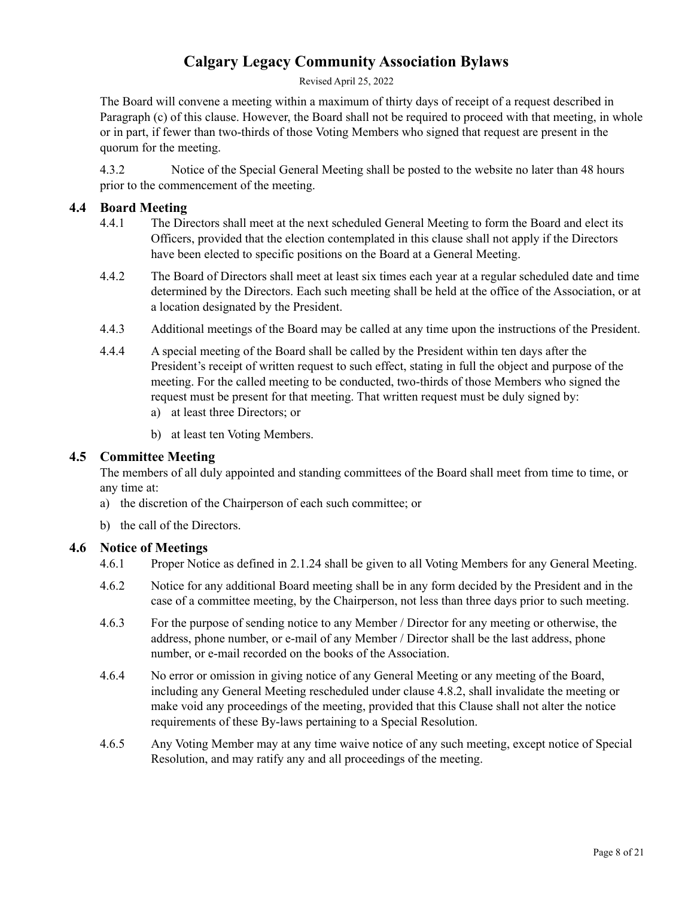Revised April 25, 2022

The Board will convene a meeting within a maximum of thirty days of receipt of a request described in Paragraph (c) of this clause. However, the Board shall not be required to proceed with that meeting, in whole or in part, if fewer than two-thirds of those Voting Members who signed that request are present in the quorum for the meeting.

4.3.2 Notice of the Special General Meeting shall be posted to the website no later than 48 hours prior to the commencement of the meeting.

#### <span id="page-7-0"></span>**4.4 Board Meeting**

- 4.4.1 The Directors shall meet at the next scheduled General Meeting to form the Board and elect its Officers, provided that the election contemplated in this clause shall not apply if the Directors have been elected to specific positions on the Board at a General Meeting.
- 4.4.2 The Board of Directors shall meet at least six times each year at a regular scheduled date and time determined by the Directors. Each such meeting shall be held at the office of the Association, or at a location designated by the President.
- 4.4.3 Additional meetings of the Board may be called at any time upon the instructions of the President.
- 4.4.4 A special meeting of the Board shall be called by the President within ten days after the President's receipt of written request to such effect, stating in full the object and purpose of the meeting. For the called meeting to be conducted, two-thirds of those Members who signed the request must be present for that meeting. That written request must be duly signed by:
	- a) at least three Directors; or
	- b) at least ten Voting Members.

### <span id="page-7-1"></span>**4.5 Committee Meeting**

The members of all duly appointed and standing committees of the Board shall meet from time to time, or any time at:

- a) the discretion of the Chairperson of each such committee; or
- b) the call of the Directors.

### <span id="page-7-2"></span>**4.6 Notice of Meetings**

4.6.1 Proper Notice as defined in 2.1.24 shall be given to all Voting Members for any General Meeting.

- 4.6.2 Notice for any additional Board meeting shall be in any form decided by the President and in the case of a committee meeting, by the Chairperson, not less than three days prior to such meeting.
- 4.6.3 For the purpose of sending notice to any Member / Director for any meeting or otherwise, the address, phone number, or e-mail of any Member / Director shall be the last address, phone number, or e-mail recorded on the books of the Association.
- 4.6.4 No error or omission in giving notice of any General Meeting or any meeting of the Board, including any General Meeting rescheduled under clause 4.8.2, shall invalidate the meeting or make void any proceedings of the meeting, provided that this Clause shall not alter the notice requirements of these By-laws pertaining to a Special Resolution.
- 4.6.5 Any Voting Member may at any time waive notice of any such meeting, except notice of Special Resolution, and may ratify any and all proceedings of the meeting.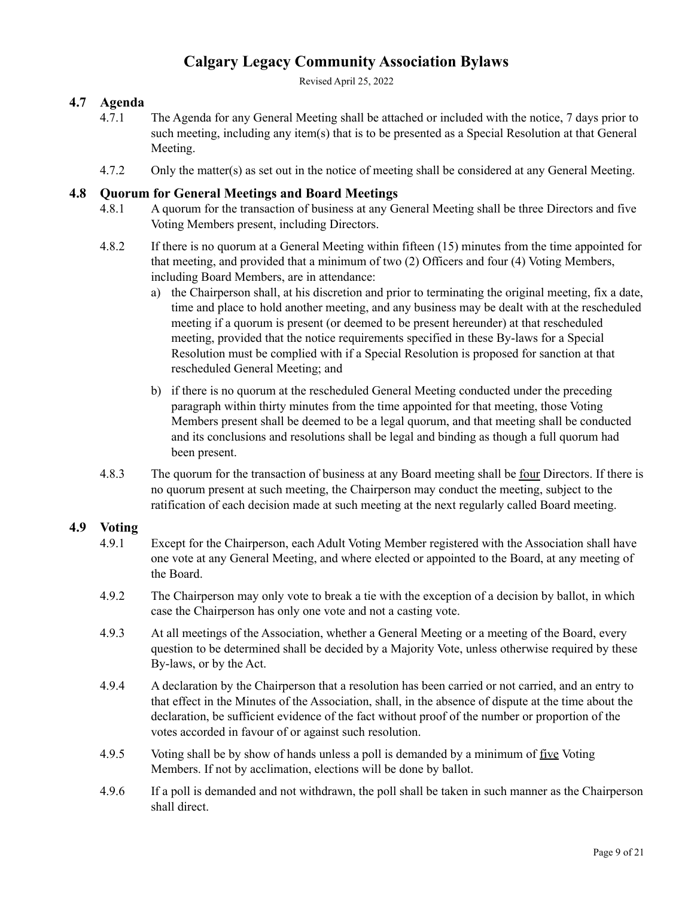Revised April 25, 2022

## <span id="page-8-0"></span>**4.7 Agenda**

- 4.7.1 The Agenda for any General Meeting shall be attached or included with the notice, 7 days prior to such meeting, including any item(s) that is to be presented as a Special Resolution at that General Meeting.
- 4.7.2 Only the matter(s) as set out in the notice of meeting shall be considered at any General Meeting.

## <span id="page-8-1"></span>**4.8 Quorum for General Meetings and Board Meetings**

- 4.8.1 A quorum for the transaction of business at any General Meeting shall be three Directors and five Voting Members present, including Directors.
- 4.8.2 If there is no quorum at a General Meeting within fifteen (15) minutes from the time appointed for that meeting, and provided that a minimum of two (2) Officers and four (4) Voting Members, including Board Members, are in attendance:
	- a) the Chairperson shall, at his discretion and prior to terminating the original meeting, fix a date, time and place to hold another meeting, and any business may be dealt with at the rescheduled meeting if a quorum is present (or deemed to be present hereunder) at that rescheduled meeting, provided that the notice requirements specified in these By-laws for a Special Resolution must be complied with if a Special Resolution is proposed for sanction at that rescheduled General Meeting; and
	- b) if there is no quorum at the rescheduled General Meeting conducted under the preceding paragraph within thirty minutes from the time appointed for that meeting, those Voting Members present shall be deemed to be a legal quorum, and that meeting shall be conducted and its conclusions and resolutions shall be legal and binding as though a full quorum had been present.
- 4.8.3 The quorum for the transaction of business at any Board meeting shall be four Directors. If there is no quorum present at such meeting, the Chairperson may conduct the meeting, subject to the ratification of each decision made at such meeting at the next regularly called Board meeting.

### <span id="page-8-2"></span>**4.9 Voting**

- 4.9.1 Except for the Chairperson, each Adult Voting Member registered with the Association shall have one vote at any General Meeting, and where elected or appointed to the Board, at any meeting of the Board.
- 4.9.2 The Chairperson may only vote to break a tie with the exception of a decision by ballot, in which case the Chairperson has only one vote and not a casting vote.
- 4.9.3 At all meetings of the Association, whether a General Meeting or a meeting of the Board, every question to be determined shall be decided by a Majority Vote, unless otherwise required by these By-laws, or by the Act.
- 4.9.4 A declaration by the Chairperson that a resolution has been carried or not carried, and an entry to that effect in the Minutes of the Association, shall, in the absence of dispute at the time about the declaration, be sufficient evidence of the fact without proof of the number or proportion of the votes accorded in favour of or against such resolution.
- 4.9.5 Voting shall be by show of hands unless a poll is demanded by a minimum of five Voting Members. If not by acclimation, elections will be done by ballot.
- 4.9.6 If a poll is demanded and not withdrawn, the poll shall be taken in such manner as the Chairperson shall direct.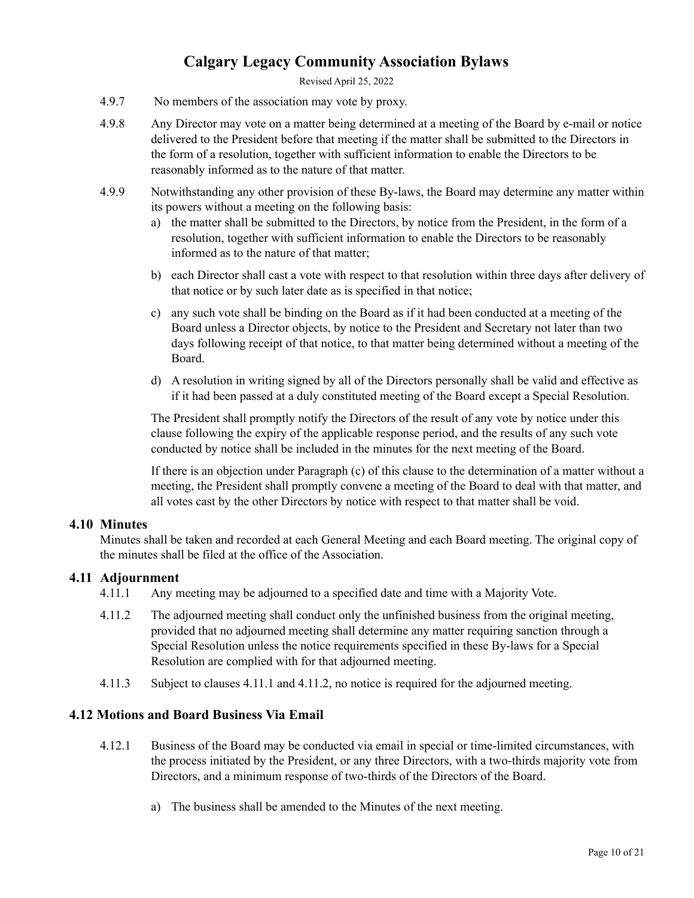Revised April 25, 2022

- 4.9.7 No members of the association may vote by proxy.
- 4.9.8 Any Director may vote on a matter being determined at a meeting of the Board by e-mail or notice delivered to the President before that meeting if the matter shall be submitted to the Directors in the form of a resolution, together with sufficient information to enable the Directors to be reasonably informed as to the nature of that matter.
- 4.9.9 Notwithstanding any other provision of these By-laws, the Board may determine any matter within its powers without a meeting on the following basis:
	- a) the matter shall be submitted to the Directors, by notice from the President, in the form of a resolution, together with sufficient information to enable the Directors to be reasonably informed as to the nature of that matter;
	- b) each Director shall cast a vote with respect to that resolution within three days after delivery of that notice or by such later date as is specified in that notice;
	- c) any such vote shall be binding on the Board as if it had been conducted at a meeting of the Board unless a Director objects, by notice to the President and Secretary not later than two days following receipt of that notice, to that matter being determined without a meeting of the Board.
	- d) A resolution in writing signed by all of the Directors personally shall be valid and effective as if it had been passed at a duly constituted meeting of the Board except a Special Resolution.

The President shall promptly notify the Directors of the result of any vote by notice under this clause following the expiry of the applicable response period, and the results of any such vote conducted by notice shall be included in the minutes for the next meeting of the Board.

If there is an objection under Paragraph (c) of this clause to the determination of a matter without a meeting, the President shall promptly convene a meeting of the Board to deal with that matter, and all votes cast by the other Directors by notice with respect to that matter shall be void.

### <span id="page-9-0"></span>**4.10 Minutes**

Minutes shall be taken and recorded at each General Meeting and each Board meeting. The original copy of the minutes shall be filed at the office of the Association.

### <span id="page-9-1"></span>**4.11 Adjournment**

- 4.11.1 Any meeting may be adjourned to a specified date and time with a Majority Vote.
- 4.11.2 The adjourned meeting shall conduct only the unfinished business from the original meeting, provided that no adjourned meeting shall determine any matter requiring sanction through a Special Resolution unless the notice requirements specified in these By-laws for a Special Resolution are complied with for that adjourned meeting.
- 4.11.3 Subject to clauses 4.11.1 and 4.11.2, no notice is required for the adjourned meeting.

### **4.12 Motions and Board Business Via Email**

- 4.12.1 Business of the Board may be conducted via email in special or time-limited circumstances, with the process initiated by the President, or any three Directors, with a two-thirds majority vote from Directors, and a minimum response of two-thirds of the Directors of the Board.
	- a) The business shall be amended to the Minutes of the next meeting.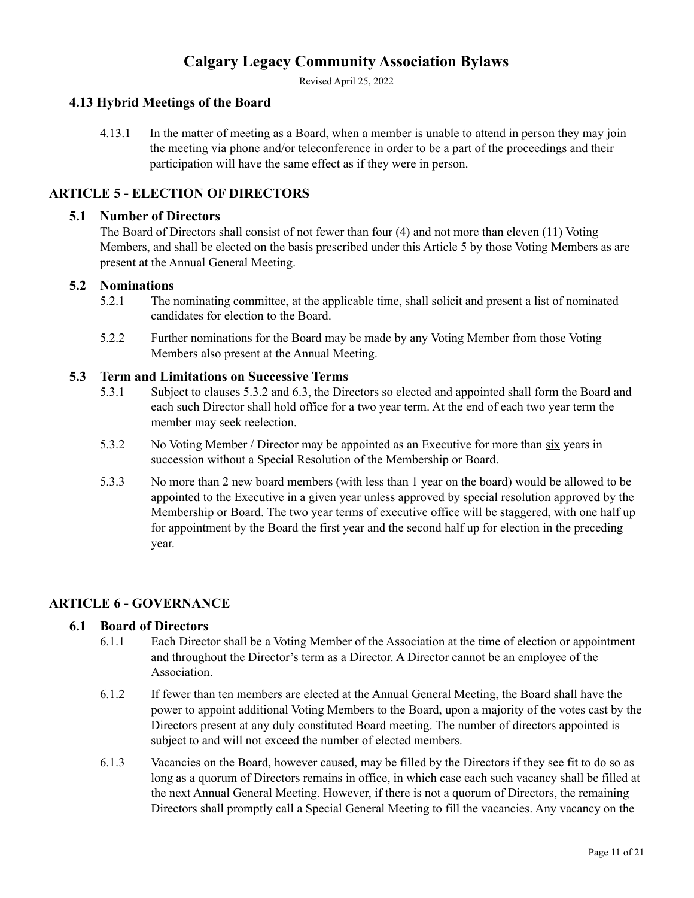Revised April 25, 2022

## <span id="page-10-0"></span>**4.13 Hybrid Meetings of the Board**

4.13.1 In the matter of meeting as a Board, when a member is unable to attend in person they may join the meeting via phone and/or teleconference in order to be a part of the proceedings and their participation will have the same effect as if they were in person.

## <span id="page-10-1"></span>**ARTICLE 5 - ELECTION OF DIRECTORS**

#### <span id="page-10-2"></span>**5.1 Number of Directors**

The Board of Directors shall consist of not fewer than four (4) and not more than eleven (11) Voting Members, and shall be elected on the basis prescribed under this Article 5 by those Voting Members as are present at the Annual General Meeting.

#### <span id="page-10-3"></span>**5.2 Nominations**

- 5.2.1 The nominating committee, at the applicable time, shall solicit and present a list of nominated candidates for election to the Board.
- 5.2.2 Further nominations for the Board may be made by any Voting Member from those Voting Members also present at the Annual Meeting.

#### <span id="page-10-4"></span>**5.3 Term and Limitations on Successive Terms**

- 5.3.1 Subject to clauses 5.3.2 and 6.3, the Directors so elected and appointed shall form the Board and each such Director shall hold office for a two year term. At the end of each two year term the member may seek reelection.
- 5.3.2 No Voting Member / Director may be appointed as an Executive for more than six years in succession without a Special Resolution of the Membership or Board.
- 5.3.3 No more than 2 new board members (with less than 1 year on the board) would be allowed to be appointed to the Executive in a given year unless approved by special resolution approved by the Membership or Board. The two year terms of executive office will be staggered, with one half up for appointment by the Board the first year and the second half up for election in the preceding year.

### <span id="page-10-5"></span>**ARTICLE 6 - GOVERNANCE**

#### <span id="page-10-6"></span>**6.1 Board of Directors**

- 6.1.1 Each Director shall be a Voting Member of the Association at the time of election or appointment and throughout the Director's term as a Director. A Director cannot be an employee of the Association.
- 6.1.2 If fewer than ten members are elected at the Annual General Meeting, the Board shall have the power to appoint additional Voting Members to the Board, upon a majority of the votes cast by the Directors present at any duly constituted Board meeting. The number of directors appointed is subject to and will not exceed the number of elected members.
- 6.1.3 Vacancies on the Board, however caused, may be filled by the Directors if they see fit to do so as long as a quorum of Directors remains in office, in which case each such vacancy shall be filled at the next Annual General Meeting. However, if there is not a quorum of Directors, the remaining Directors shall promptly call a Special General Meeting to fill the vacancies. Any vacancy on the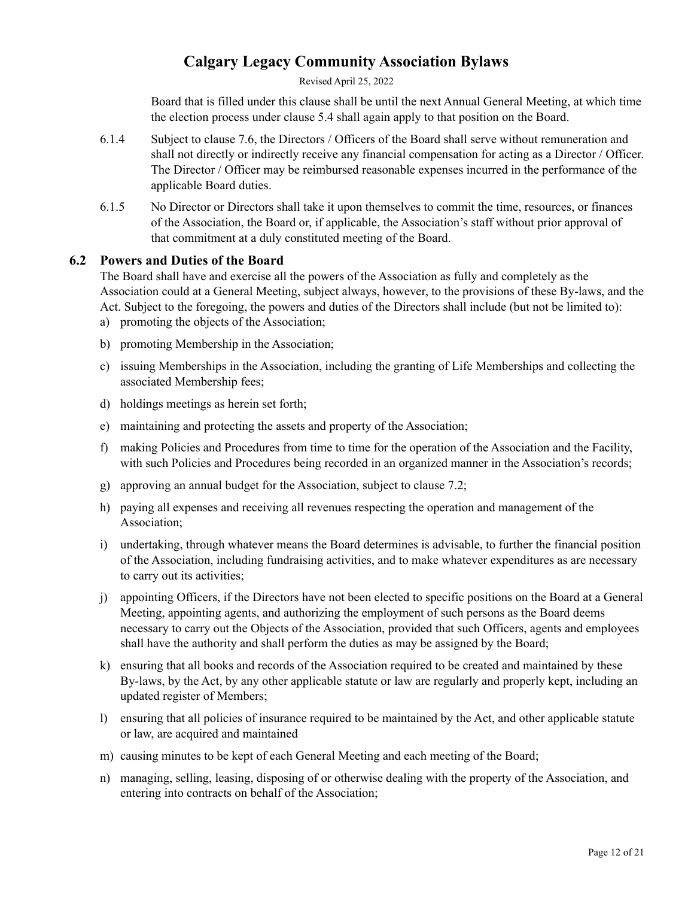Revised April 25, 2022

Board that is filled under this clause shall be until the next Annual General Meeting, at which time the election process under clause 5.4 shall again apply to that position on the Board.

- 6.1.4 Subject to clause 7.6, the Directors / Officers of the Board shall serve without remuneration and shall not directly or indirectly receive any financial compensation for acting as a Director / Officer. The Director / Officer may be reimbursed reasonable expenses incurred in the performance of the applicable Board duties.
- 6.1.5 No Director or Directors shall take it upon themselves to commit the time, resources, or finances of the Association, the Board or, if applicable, the Association's staff without prior approval of that commitment at a duly constituted meeting of the Board.

## <span id="page-11-0"></span>**6.2 Powers and Duties of the Board**

The Board shall have and exercise all the powers of the Association as fully and completely as the Association could at a General Meeting, subject always, however, to the provisions of these By-laws, and the Act. Subject to the foregoing, the powers and duties of the Directors shall include (but not be limited to):

- a) promoting the objects of the Association;
- b) promoting Membership in the Association;
- c) issuing Memberships in the Association, including the granting of Life Memberships and collecting the associated Membership fees;
- d) holdings meetings as herein set forth;
- e) maintaining and protecting the assets and property of the Association;
- f) making Policies and Procedures from time to time for the operation of the Association and the Facility, with such Policies and Procedures being recorded in an organized manner in the Association's records;
- g) approving an annual budget for the Association, subject to clause 7.2;
- h) paying all expenses and receiving all revenues respecting the operation and management of the Association;
- i) undertaking, through whatever means the Board determines is advisable, to further the financial position of the Association, including fundraising activities, and to make whatever expenditures as are necessary to carry out its activities;
- j) appointing Officers, if the Directors have not been elected to specific positions on the Board at a General Meeting, appointing agents, and authorizing the employment of such persons as the Board deems necessary to carry out the Objects of the Association, provided that such Officers, agents and employees shall have the authority and shall perform the duties as may be assigned by the Board;
- k) ensuring that all books and records of the Association required to be created and maintained by these By-laws, by the Act, by any other applicable statute or law are regularly and properly kept, including an updated register of Members;
- l) ensuring that all policies of insurance required to be maintained by the Act, and other applicable statute or law, are acquired and maintained
- m) causing minutes to be kept of each General Meeting and each meeting of the Board;
- n) managing, selling, leasing, disposing of or otherwise dealing with the property of the Association, and entering into contracts on behalf of the Association;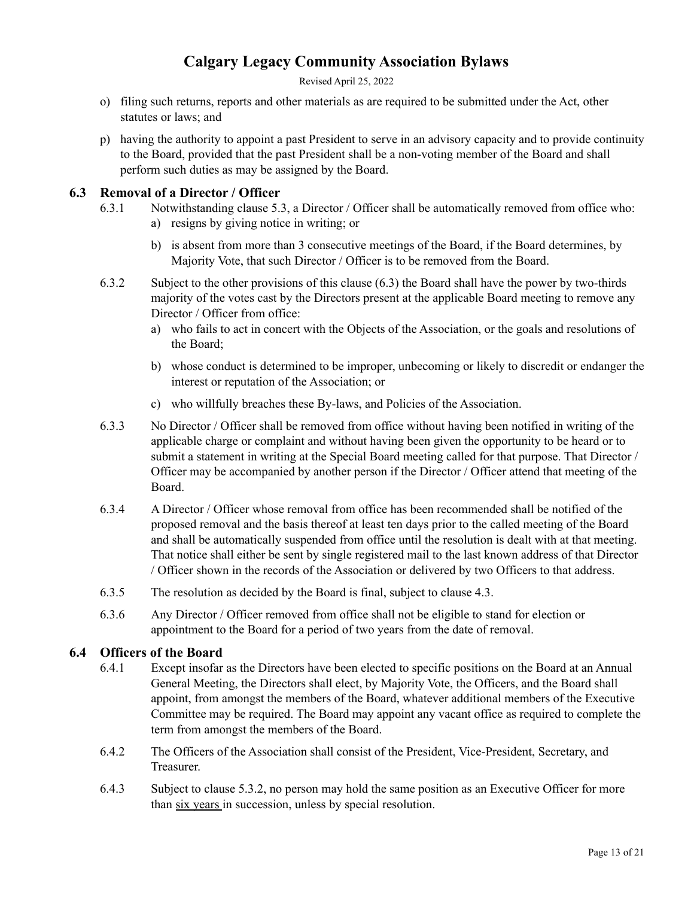Revised April 25, 2022

- o) filing such returns, reports and other materials as are required to be submitted under the Act, other statutes or laws; and
- p) having the authority to appoint a past President to serve in an advisory capacity and to provide continuity to the Board, provided that the past President shall be a non-voting member of the Board and shall perform such duties as may be assigned by the Board.

## <span id="page-12-0"></span>**6.3 Removal of a Director / Officer**

- 6.3.1 Notwithstanding clause 5.3, a Director / Officer shall be automatically removed from office who: a) resigns by giving notice in writing; or
	- b) is absent from more than 3 consecutive meetings of the Board, if the Board determines, by Majority Vote, that such Director / Officer is to be removed from the Board.
- 6.3.2 Subject to the other provisions of this clause (6.3) the Board shall have the power by two-thirds majority of the votes cast by the Directors present at the applicable Board meeting to remove any Director / Officer from office:
	- a) who fails to act in concert with the Objects of the Association, or the goals and resolutions of the Board;
	- b) whose conduct is determined to be improper, unbecoming or likely to discredit or endanger the interest or reputation of the Association; or
	- c) who willfully breaches these By-laws, and Policies of the Association.
- 6.3.3 No Director / Officer shall be removed from office without having been notified in writing of the applicable charge or complaint and without having been given the opportunity to be heard or to submit a statement in writing at the Special Board meeting called for that purpose. That Director / Officer may be accompanied by another person if the Director / Officer attend that meeting of the Board.
- 6.3.4 A Director / Officer whose removal from office has been recommended shall be notified of the proposed removal and the basis thereof at least ten days prior to the called meeting of the Board and shall be automatically suspended from office until the resolution is dealt with at that meeting. That notice shall either be sent by single registered mail to the last known address of that Director / Officer shown in the records of the Association or delivered by two Officers to that address.
- 6.3.5 The resolution as decided by the Board is final, subject to clause 4.3.
- 6.3.6 Any Director / Officer removed from office shall not be eligible to stand for election or appointment to the Board for a period of two years from the date of removal.

## <span id="page-12-1"></span>**6.4 Officers of the Board**

- 6.4.1 Except insofar as the Directors have been elected to specific positions on the Board at an Annual General Meeting, the Directors shall elect, by Majority Vote, the Officers, and the Board shall appoint, from amongst the members of the Board, whatever additional members of the Executive Committee may be required. The Board may appoint any vacant office as required to complete the term from amongst the members of the Board.
- 6.4.2 The Officers of the Association shall consist of the President, Vice-President, Secretary, and Treasurer.
- 6.4.3 Subject to clause 5.3.2, no person may hold the same position as an Executive Officer for more than six years in succession, unless by special resolution.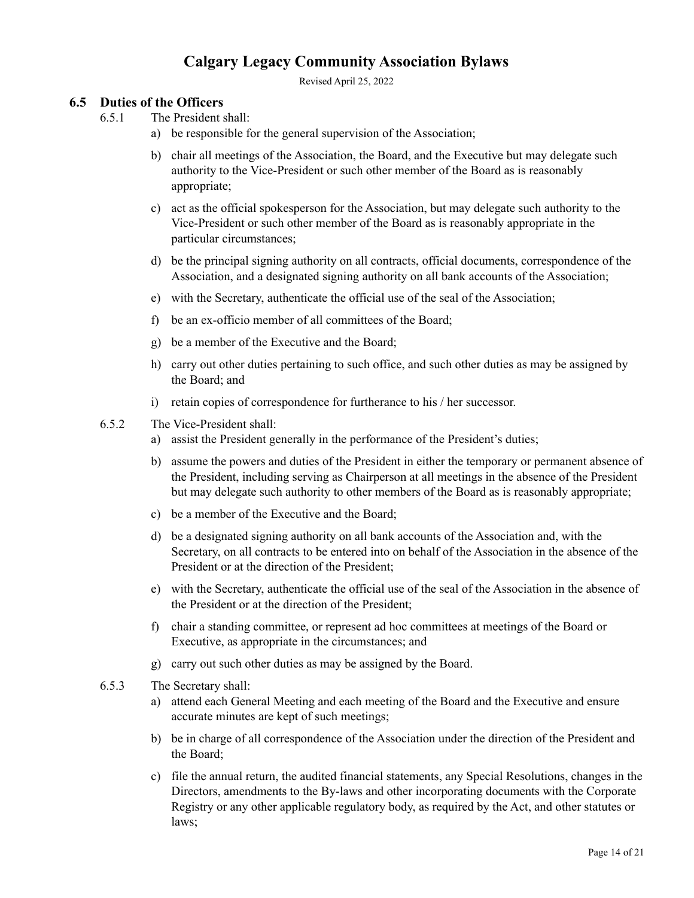Revised April 25, 2022

## <span id="page-13-0"></span>**6.5 Duties of the Officers**

6.5.1 The President shall:

- a) be responsible for the general supervision of the Association;
- b) chair all meetings of the Association, the Board, and the Executive but may delegate such authority to the Vice-President or such other member of the Board as is reasonably appropriate;
- c) act as the official spokesperson for the Association, but may delegate such authority to the Vice-President or such other member of the Board as is reasonably appropriate in the particular circumstances;
- d) be the principal signing authority on all contracts, official documents, correspondence of the Association, and a designated signing authority on all bank accounts of the Association;
- e) with the Secretary, authenticate the official use of the seal of the Association;
- f) be an ex-officio member of all committees of the Board;
- g) be a member of the Executive and the Board;
- h) carry out other duties pertaining to such office, and such other duties as may be assigned by the Board; and
- i) retain copies of correspondence for furtherance to his / her successor.
- 6.5.2 The Vice-President shall:
	- a) assist the President generally in the performance of the President's duties;
	- b) assume the powers and duties of the President in either the temporary or permanent absence of the President, including serving as Chairperson at all meetings in the absence of the President but may delegate such authority to other members of the Board as is reasonably appropriate;
	- c) be a member of the Executive and the Board;
	- d) be a designated signing authority on all bank accounts of the Association and, with the Secretary, on all contracts to be entered into on behalf of the Association in the absence of the President or at the direction of the President;
	- e) with the Secretary, authenticate the official use of the seal of the Association in the absence of the President or at the direction of the President;
	- f) chair a standing committee, or represent ad hoc committees at meetings of the Board or Executive, as appropriate in the circumstances; and
	- g) carry out such other duties as may be assigned by the Board.
- 6.5.3 The Secretary shall:
	- a) attend each General Meeting and each meeting of the Board and the Executive and ensure accurate minutes are kept of such meetings;
	- b) be in charge of all correspondence of the Association under the direction of the President and the Board;
	- c) file the annual return, the audited financial statements, any Special Resolutions, changes in the Directors, amendments to the By-laws and other incorporating documents with the Corporate Registry or any other applicable regulatory body, as required by the Act, and other statutes or laws;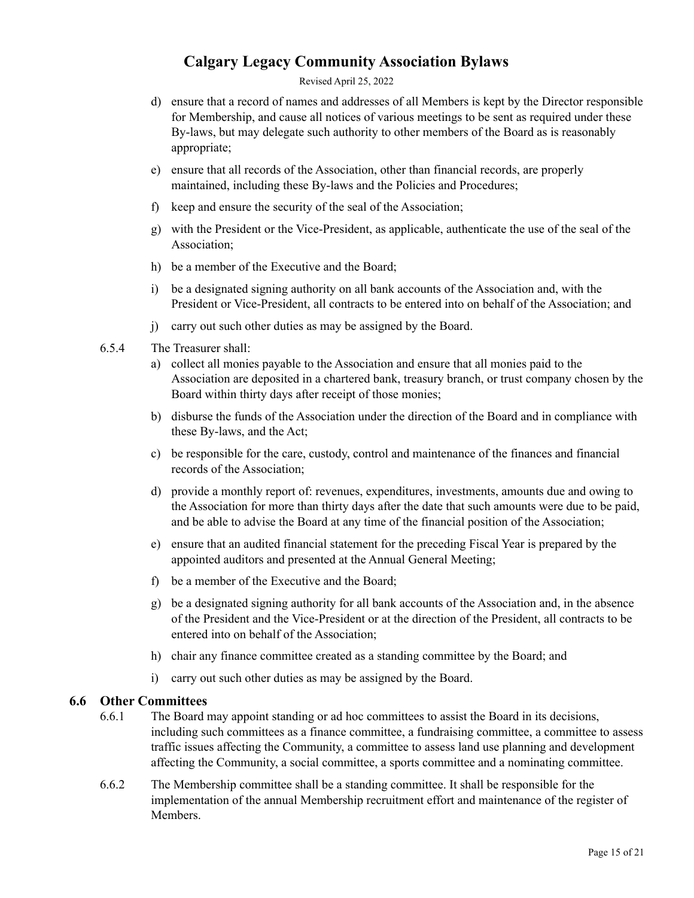Revised April 25, 2022

- d) ensure that a record of names and addresses of all Members is kept by the Director responsible for Membership, and cause all notices of various meetings to be sent as required under these By-laws, but may delegate such authority to other members of the Board as is reasonably appropriate;
- e) ensure that all records of the Association, other than financial records, are properly maintained, including these By-laws and the Policies and Procedures;
- f) keep and ensure the security of the seal of the Association;
- g) with the President or the Vice-President, as applicable, authenticate the use of the seal of the Association;
- h) be a member of the Executive and the Board;
- i) be a designated signing authority on all bank accounts of the Association and, with the President or Vice-President, all contracts to be entered into on behalf of the Association; and
- j) carry out such other duties as may be assigned by the Board.
- 6.5.4 The Treasurer shall:
	- a) collect all monies payable to the Association and ensure that all monies paid to the Association are deposited in a chartered bank, treasury branch, or trust company chosen by the Board within thirty days after receipt of those monies;
	- b) disburse the funds of the Association under the direction of the Board and in compliance with these By-laws, and the Act;
	- c) be responsible for the care, custody, control and maintenance of the finances and financial records of the Association;
	- d) provide a monthly report of: revenues, expenditures, investments, amounts due and owing to the Association for more than thirty days after the date that such amounts were due to be paid, and be able to advise the Board at any time of the financial position of the Association;
	- e) ensure that an audited financial statement for the preceding Fiscal Year is prepared by the appointed auditors and presented at the Annual General Meeting;
	- f) be a member of the Executive and the Board;
	- g) be a designated signing authority for all bank accounts of the Association and, in the absence of the President and the Vice-President or at the direction of the President, all contracts to be entered into on behalf of the Association;
	- h) chair any finance committee created as a standing committee by the Board; and
	- i) carry out such other duties as may be assigned by the Board.

### <span id="page-14-0"></span>**6.6 Other Committees**

- 6.6.1 The Board may appoint standing or ad hoc committees to assist the Board in its decisions, including such committees as a finance committee, a fundraising committee, a committee to assess traffic issues affecting the Community, a committee to assess land use planning and development affecting the Community, a social committee, a sports committee and a nominating committee.
- 6.6.2 The Membership committee shall be a standing committee. It shall be responsible for the implementation of the annual Membership recruitment effort and maintenance of the register of **Members**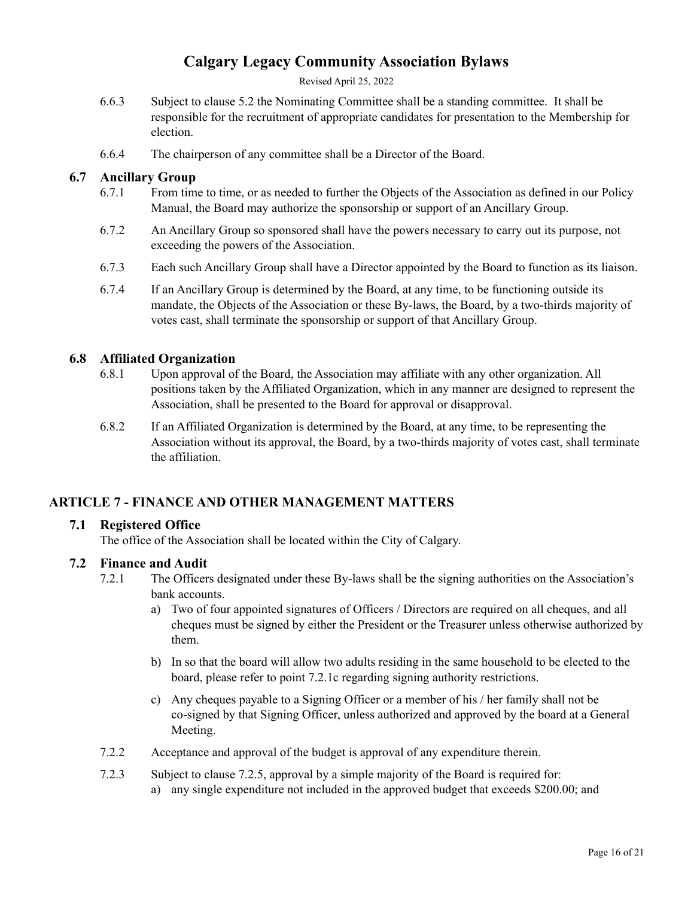Revised April 25, 2022

- 6.6.3 Subject to clause 5.2 the Nominating Committee shall be a standing committee. It shall be responsible for the recruitment of appropriate candidates for presentation to the Membership for election.
- 6.6.4 The chairperson of any committee shall be a Director of the Board.

## <span id="page-15-0"></span>**6.7 Ancillary Group**

- 6.7.1 From time to time, or as needed to further the Objects of the Association as defined in our Policy Manual, the Board may authorize the sponsorship or support of an Ancillary Group.
- 6.7.2 An Ancillary Group so sponsored shall have the powers necessary to carry out its purpose, not exceeding the powers of the Association.
- 6.7.3 Each such Ancillary Group shall have a Director appointed by the Board to function as its liaison.
- 6.7.4 If an Ancillary Group is determined by the Board, at any time, to be functioning outside its mandate, the Objects of the Association or these By-laws, the Board, by a two-thirds majority of votes cast, shall terminate the sponsorship or support of that Ancillary Group.

### <span id="page-15-1"></span>**6.8 Affiliated Organization**

- 6.8.1 Upon approval of the Board, the Association may affiliate with any other organization. All positions taken by the Affiliated Organization, which in any manner are designed to represent the Association, shall be presented to the Board for approval or disapproval.
- 6.8.2 If an Affiliated Organization is determined by the Board, at any time, to be representing the Association without its approval, the Board, by a two-thirds majority of votes cast, shall terminate the affiliation.

## <span id="page-15-2"></span>**ARTICLE 7 - FINANCE AND OTHER MANAGEMENT MATTERS**

### <span id="page-15-3"></span>**7.1 Registered Office**

The office of the Association shall be located within the City of Calgary.

### <span id="page-15-4"></span>**7.2 Finance and Audit**

- 7.2.1 The Officers designated under these By-laws shall be the signing authorities on the Association's bank accounts.
	- a) Two of four appointed signatures of Officers / Directors are required on all cheques, and all cheques must be signed by either the President or the Treasurer unless otherwise authorized by them.
	- b) In so that the board will allow two adults residing in the same household to be elected to the board, please refer to point 7.2.1c regarding signing authority restrictions.
	- c) Any cheques payable to a Signing Officer or a member of his / her family shall not be co-signed by that Signing Officer, unless authorized and approved by the board at a General Meeting.
- 7.2.2 Acceptance and approval of the budget is approval of any expenditure therein.
- 7.2.3 Subject to clause 7.2.5, approval by a simple majority of the Board is required for:
	- a) any single expenditure not included in the approved budget that exceeds \$200.00; and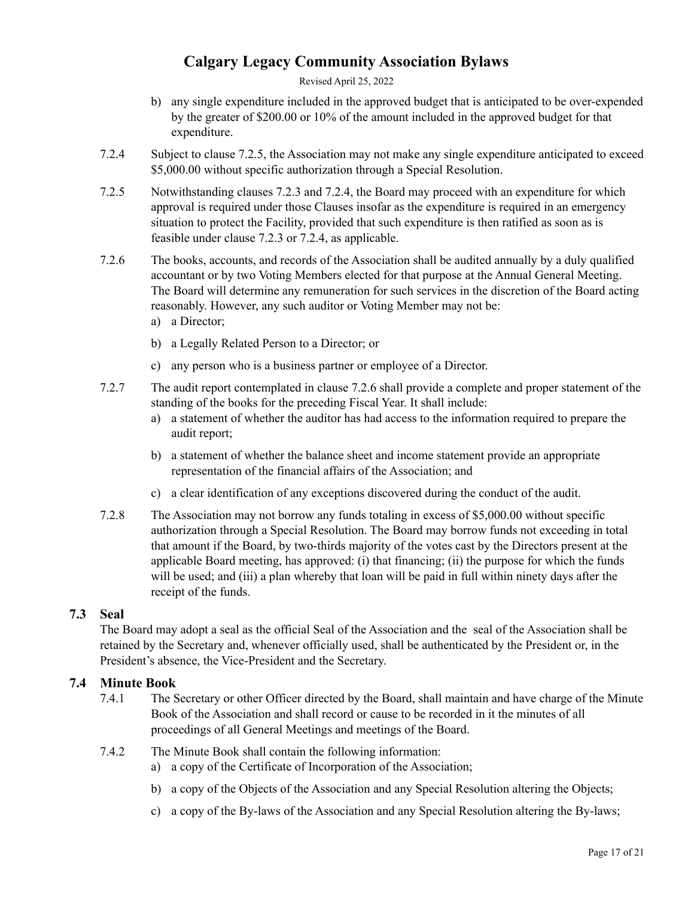Revised April 25, 2022

- b) any single expenditure included in the approved budget that is anticipated to be over-expended by the greater of \$200.00 or 10% of the amount included in the approved budget for that expenditure.
- 7.2.4 Subject to clause 7.2.5, the Association may not make any single expenditure anticipated to exceed \$5,000.00 without specific authorization through a Special Resolution.
- 7.2.5 Notwithstanding clauses 7.2.3 and 7.2.4, the Board may proceed with an expenditure for which approval is required under those Clauses insofar as the expenditure is required in an emergency situation to protect the Facility, provided that such expenditure is then ratified as soon as is feasible under clause 7.2.3 or 7.2.4, as applicable.
- 7.2.6 The books, accounts, and records of the Association shall be audited annually by a duly qualified accountant or by two Voting Members elected for that purpose at the Annual General Meeting. The Board will determine any remuneration for such services in the discretion of the Board acting reasonably. However, any such auditor or Voting Member may not be:
	- a) a Director;
	- b) a Legally Related Person to a Director; or
	- c) any person who is a business partner or employee of a Director.
- 7.2.7 The audit report contemplated in clause 7.2.6 shall provide a complete and proper statement of the standing of the books for the preceding Fiscal Year. It shall include:
	- a) a statement of whether the auditor has had access to the information required to prepare the audit report;
	- b) a statement of whether the balance sheet and income statement provide an appropriate representation of the financial affairs of the Association; and
	- c) a clear identification of any exceptions discovered during the conduct of the audit.
- 7.2.8 The Association may not borrow any funds totaling in excess of \$5,000.00 without specific authorization through a Special Resolution. The Board may borrow funds not exceeding in total that amount if the Board, by two-thirds majority of the votes cast by the Directors present at the applicable Board meeting, has approved: (i) that financing; (ii) the purpose for which the funds will be used; and (iii) a plan whereby that loan will be paid in full within ninety days after the receipt of the funds.

### <span id="page-16-0"></span>**7.3 Seal**

The Board may adopt a seal as the official Seal of the Association and the seal of the Association shall be retained by the Secretary and, whenever officially used, shall be authenticated by the President or, in the President's absence, the Vice-President and the Secretary.

## <span id="page-16-1"></span>**7.4 Minute Book**

- 7.4.1 The Secretary or other Officer directed by the Board, shall maintain and have charge of the Minute Book of the Association and shall record or cause to be recorded in it the minutes of all proceedings of all General Meetings and meetings of the Board.
- 7.4.2 The Minute Book shall contain the following information:
	- a) a copy of the Certificate of Incorporation of the Association;
	- b) a copy of the Objects of the Association and any Special Resolution altering the Objects;
	- c) a copy of the By-laws of the Association and any Special Resolution altering the By-laws;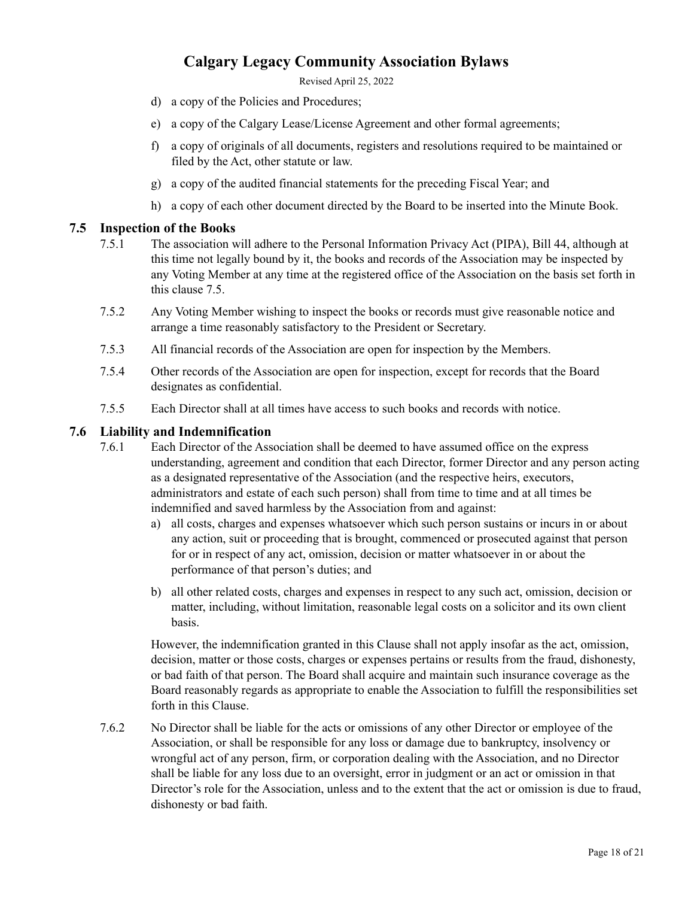Revised April 25, 2022

- d) a copy of the Policies and Procedures;
- e) a copy of the Calgary Lease/License Agreement and other formal agreements;
- f) a copy of originals of all documents, registers and resolutions required to be maintained or filed by the Act, other statute or law.
- g) a copy of the audited financial statements for the preceding Fiscal Year; and
- h) a copy of each other document directed by the Board to be inserted into the Minute Book.

#### <span id="page-17-0"></span>**7.5 Inspection of the Books**

- 7.5.1 The association will adhere to the Personal Information Privacy Act (PIPA), Bill 44, although at this time not legally bound by it, the books and records of the Association may be inspected by any Voting Member at any time at the registered office of the Association on the basis set forth in this clause 7.5.
- 7.5.2 Any Voting Member wishing to inspect the books or records must give reasonable notice and arrange a time reasonably satisfactory to the President or Secretary.
- 7.5.3 All financial records of the Association are open for inspection by the Members.
- 7.5.4 Other records of the Association are open for inspection, except for records that the Board designates as confidential.
- 7.5.5 Each Director shall at all times have access to such books and records with notice.

#### <span id="page-17-1"></span>**7.6 Liability and Indemnification**

- 7.6.1 Each Director of the Association shall be deemed to have assumed office on the express understanding, agreement and condition that each Director, former Director and any person acting as a designated representative of the Association (and the respective heirs, executors, administrators and estate of each such person) shall from time to time and at all times be indemnified and saved harmless by the Association from and against:
	- a) all costs, charges and expenses whatsoever which such person sustains or incurs in or about any action, suit or proceeding that is brought, commenced or prosecuted against that person for or in respect of any act, omission, decision or matter whatsoever in or about the performance of that person's duties; and
	- b) all other related costs, charges and expenses in respect to any such act, omission, decision or matter, including, without limitation, reasonable legal costs on a solicitor and its own client basis.

However, the indemnification granted in this Clause shall not apply insofar as the act, omission, decision, matter or those costs, charges or expenses pertains or results from the fraud, dishonesty, or bad faith of that person. The Board shall acquire and maintain such insurance coverage as the Board reasonably regards as appropriate to enable the Association to fulfill the responsibilities set forth in this Clause.

7.6.2 No Director shall be liable for the acts or omissions of any other Director or employee of the Association, or shall be responsible for any loss or damage due to bankruptcy, insolvency or wrongful act of any person, firm, or corporation dealing with the Association, and no Director shall be liable for any loss due to an oversight, error in judgment or an act or omission in that Director's role for the Association, unless and to the extent that the act or omission is due to fraud, dishonesty or bad faith.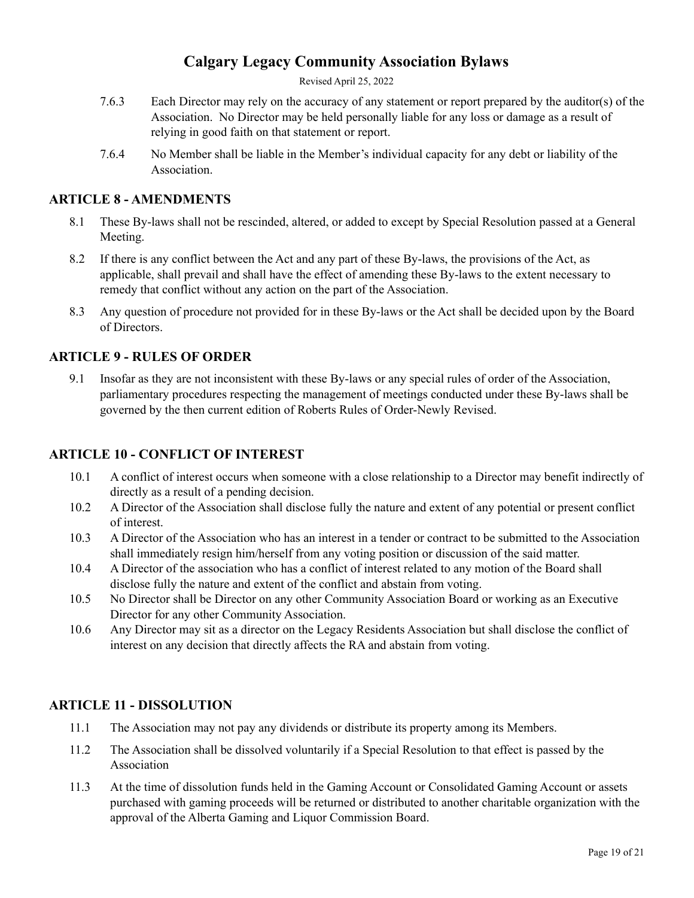Revised April 25, 2022

- 7.6.3 Each Director may rely on the accuracy of any statement or report prepared by the auditor(s) of the Association. No Director may be held personally liable for any loss or damage as a result of relying in good faith on that statement or report.
- 7.6.4 No Member shall be liable in the Member's individual capacity for any debt or liability of the **Association**

## <span id="page-18-0"></span>**ARTICLE 8 - AMENDMENTS**

- 8.1 These By-laws shall not be rescinded, altered, or added to except by Special Resolution passed at a General Meeting.
- 8.2 If there is any conflict between the Act and any part of these By-laws, the provisions of the Act, as applicable, shall prevail and shall have the effect of amending these By-laws to the extent necessary to remedy that conflict without any action on the part of the Association.
- 8.3 Any question of procedure not provided for in these By-laws or the Act shall be decided upon by the Board of Directors.

## <span id="page-18-1"></span>**ARTICLE 9 - RULES OF ORDER**

9.1 Insofar as they are not inconsistent with these By-laws or any special rules of order of the Association, parliamentary procedures respecting the management of meetings conducted under these By-laws shall be governed by the then current edition of Roberts Rules of Order-Newly Revised.

## <span id="page-18-2"></span>**ARTICLE 10 - CONFLICT OF INTEREST**

- 10.1 A conflict of interest occurs when someone with a close relationship to a Director may benefit indirectly of directly as a result of a pending decision.
- 10.2 A Director of the Association shall disclose fully the nature and extent of any potential or present conflict of interest.
- 10.3 A Director of the Association who has an interest in a tender or contract to be submitted to the Association shall immediately resign him/herself from any voting position or discussion of the said matter.
- 10.4 A Director of the association who has a conflict of interest related to any motion of the Board shall disclose fully the nature and extent of the conflict and abstain from voting.
- 10.5 No Director shall be Director on any other Community Association Board or working as an Executive Director for any other Community Association.
- 10.6 Any Director may sit as a director on the Legacy Residents Association but shall disclose the conflict of interest on any decision that directly affects the RA and abstain from voting.

### <span id="page-18-3"></span>**ARTICLE 11 - DISSOLUTION**

- 11.1 The Association may not pay any dividends or distribute its property among its Members.
- 11.2 The Association shall be dissolved voluntarily if a Special Resolution to that effect is passed by the Association
- 11.3 At the time of dissolution funds held in the Gaming Account or Consolidated Gaming Account or assets purchased with gaming proceeds will be returned or distributed to another charitable organization with the approval of the Alberta Gaming and Liquor Commission Board.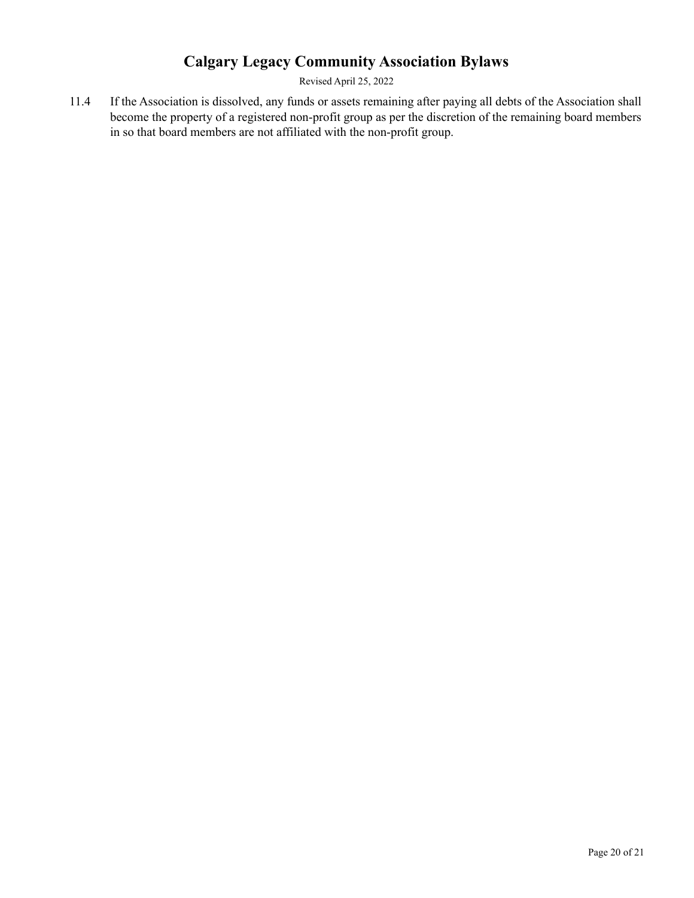Revised April 25, 2022

11.4 If the Association is dissolved, any funds or assets remaining after paying all debts of the Association shall become the property of a registered non-profit group as per the discretion of the remaining board members in so that board members are not affiliated with the non-profit group.